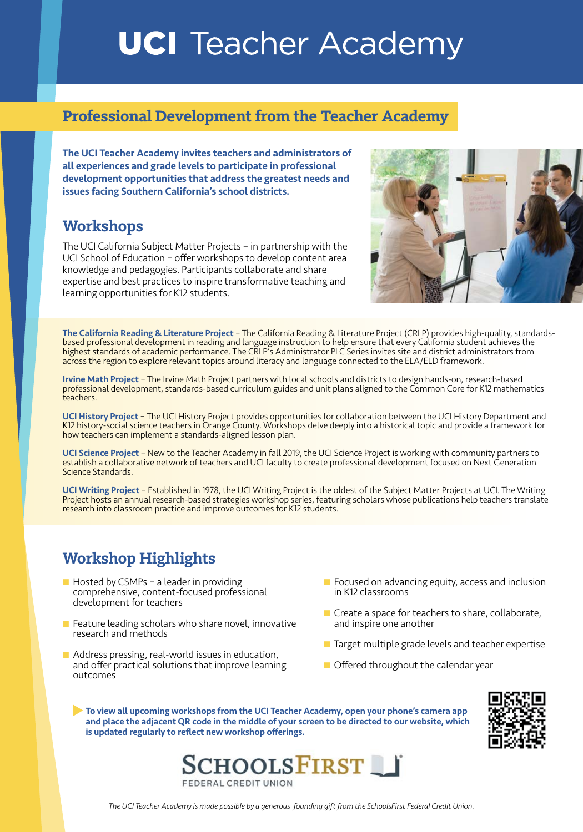# **UCI** Teacher Academy

#### **Professional Development from the Teacher Academy**

The UCI Teacher Academy invites teachers and administrators of all experiences and grade levels to participate in professional development opportunities that address the greatest needs and issues facing Southern California's school districts.

### **Workshops**

The UCI California Subject Matter Projects – in partnership with the UCI School of Education – offer workshops to develop content area knowledge and pedagogies. Participants collaborate and share expertise and best practices to inspire transformative teaching and learning opportunities for K12 students.



The California Reading & Literature Project - The California Reading & Literature Project (CRLP) provides high-quality, standardsbased professional development in reading and language instruction to help ensure that every California student achieves the highest standards of academic performance. The CRLP's Administrator PLC Series invites site and district administrators from across the region to explore relevant topics around literacy and language connected to the ELA/ELD framework.

Irvine Math Project – The Irvine Math Project partners with local schools and districts to design hands-on, research-based professional development, standards-based curriculum guides and unit plans aligned to the Common Core for K12 mathematics teachers.

UCI History Project - The UCI History Project provides opportunities for collaboration between the UCI History Department and K12 history-social science teachers in Orange County. Workshops delve deeply into a historical topic and provide a framework for how teachers can implement a standards-aligned lesson plan.

UCI Science Project - New to the Teacher Academy in fall 2019, the UCI Science Project is working with community partners to establish a collaborative network of teachers and UCI faculty to create professional development focused on Next Generation Science Standards.

UCI Writing Project – Established in 1978, the UCI Writing Project is the oldest of the Subject Matter Projects at UCI. The Writing Project hosts an annual research-based strategies workshop series, featuring scholars whose publications help teachers translate research into classroom practice and improve outcomes for K12 students.

## **Workshop Highlights**

- $\blacksquare$  Hosted by CSMPs a leader in providing comprehensive, content-focused professional development for teachers
- $\blacksquare$  Feature leading scholars who share novel, innovative research and methods
- $\blacksquare$  Address pressing, real-world issues in education, and offer practical solutions that improve learning outcomes
- $\blacksquare$  Focused on advancing equity, access and inclusion in K12 classrooms
- $\blacksquare$  Create a space for teachers to share, collaborate, and inspire one another
- **n** Target multiple grade levels and teacher expertise
- $\blacksquare$  Offered throughout the calendar year

To view all upcoming workshops from the UCI Teacher Academy, open your phone's camera app and place the adjacent QR code in the middle of your screen to be directed to our website, which is updated regularly to reflect new workshop offerings.